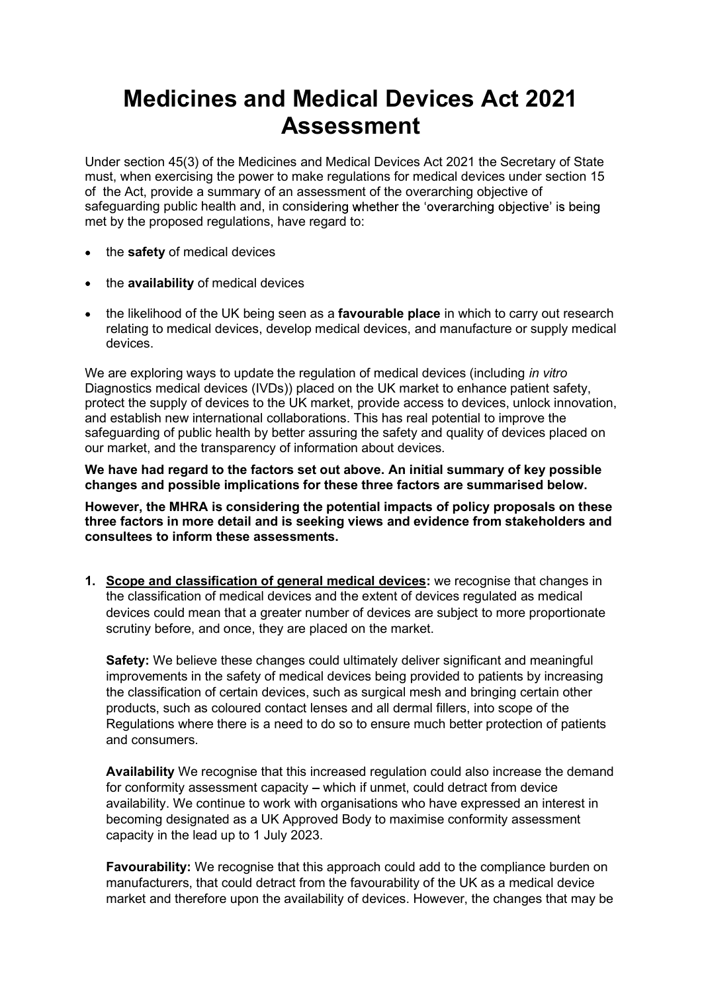## Medicines and Medical Devices Act 2021 Assessment

Under section 45(3) of the Medicines and Medical Devices Act 2021 the Secretary of State must, when exercising the power to make regulations for medical devices under section 15 of the Act, provide a summary of an assessment of the overarching objective of safeguarding public health and, in considering whether the 'overarching objective' is being met by the proposed regulations, have regard to:

- the safety of medical devices
- $\bullet$  the availability of medical devices
- the likelihood of the UK being seen as a favourable place in which to carry out research relating to medical devices, develop medical devices, and manufacture or supply medical devices.

We are exploring ways to update the regulation of medical devices (including *in vitro*) Diagnostics medical devices (IVDs)) placed on the UK market to enhance patient safety, protect the supply of devices to the UK market, provide access to devices, unlock innovation, and establish new international collaborations. This has real potential to improve the safeguarding of public health by better assuring the safety and quality of devices placed on our market, and the transparency of information about devices.

We have had regard to the factors set out above. An initial summary of key possible changes and possible implications for these three factors are summarised below.

However, the MHRA is considering the potential impacts of policy proposals on these three factors in more detail and is seeking views and evidence from stakeholders and consultees to inform these assessments.

1. Scope and classification of general medical devices: we recognise that changes in the classification of medical devices and the extent of devices regulated as medical devices could mean that a greater number of devices are subject to more proportionate scrutiny before, and once, they are placed on the market.

Safety: We believe these changes could ultimately deliver significant and meaningful improvements in the safety of medical devices being provided to patients by increasing the classification of certain devices, such as surgical mesh and bringing certain other products, such as coloured contact lenses and all dermal fillers, into scope of the Regulations where there is a need to do so to ensure much better protection of patients and consumers.

Availability We recognise that this increased regulation could also increase the demand for conformity assessment capacity – which if unmet, could detract from device availability. We continue to work with organisations who have expressed an interest in becoming designated as a UK Approved Body to maximise conformity assessment capacity in the lead up to 1 July 2023.

Favourability: We recognise that this approach could add to the compliance burden on manufacturers, that could detract from the favourability of the UK as a medical device market and therefore upon the availability of devices. However, the changes that may be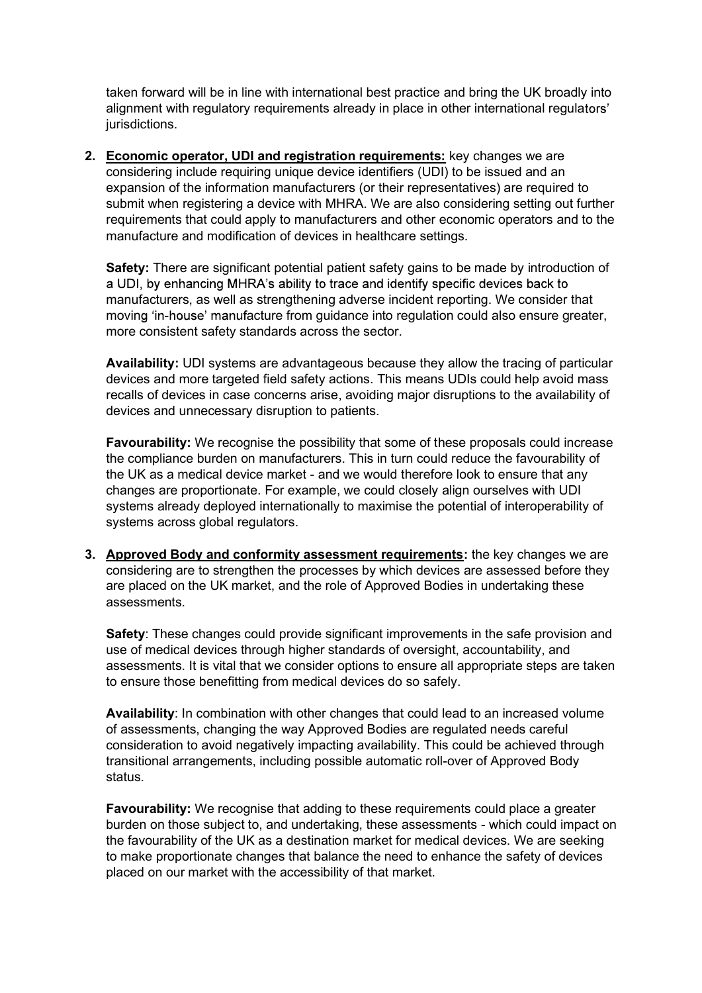taken forward will be in line with international best practice and bring the UK broadly into alignment with regulatory requirements already in place in other international regulators' jurisdictions.

2. Economic operator, UDI and registration requirements: key changes we are considering include requiring unique device identifiers (UDI) to be issued and an expansion of the information manufacturers (or their representatives) are required to submit when registering a device with MHRA. We are also considering setting out further requirements that could apply to manufacturers and other economic operators and to the manufacture and modification of devices in healthcare settings.

Safety: There are significant potential patient safety gains to be made by introduction of a UDI, by enhancing MHRA's ability to trace and identify specific devices back to manufacturers, as well as strengthening adverse incident reporting. We consider that moving 'in-house' manufacture from guidance into regulation could also ensure greater, more consistent safety standards across the sector.

Availability: UDI systems are advantageous because they allow the tracing of particular devices and more targeted field safety actions. This means UDIs could help avoid mass recalls of devices in case concerns arise, avoiding major disruptions to the availability of devices and unnecessary disruption to patients.

Favourability: We recognise the possibility that some of these proposals could increase the compliance burden on manufacturers. This in turn could reduce the favourability of the UK as a medical device market - and we would therefore look to ensure that any changes are proportionate. For example, we could closely align ourselves with UDI systems already deployed internationally to maximise the potential of interoperability of systems across global regulators.

3. Approved Body and conformity assessment requirements: the key changes we are considering are to strengthen the processes by which devices are assessed before they are placed on the UK market, and the role of Approved Bodies in undertaking these assessments.

Safety: These changes could provide significant improvements in the safe provision and use of medical devices through higher standards of oversight, accountability, and assessments. It is vital that we consider options to ensure all appropriate steps are taken to ensure those benefitting from medical devices do so safely.

Availability: In combination with other changes that could lead to an increased volume of assessments, changing the way Approved Bodies are regulated needs careful consideration to avoid negatively impacting availability. This could be achieved through transitional arrangements, including possible automatic roll-over of Approved Body status.

Favourability: We recognise that adding to these requirements could place a greater burden on those subject to, and undertaking, these assessments - which could impact on the favourability of the UK as a destination market for medical devices. We are seeking to make proportionate changes that balance the need to enhance the safety of devices placed on our market with the accessibility of that market.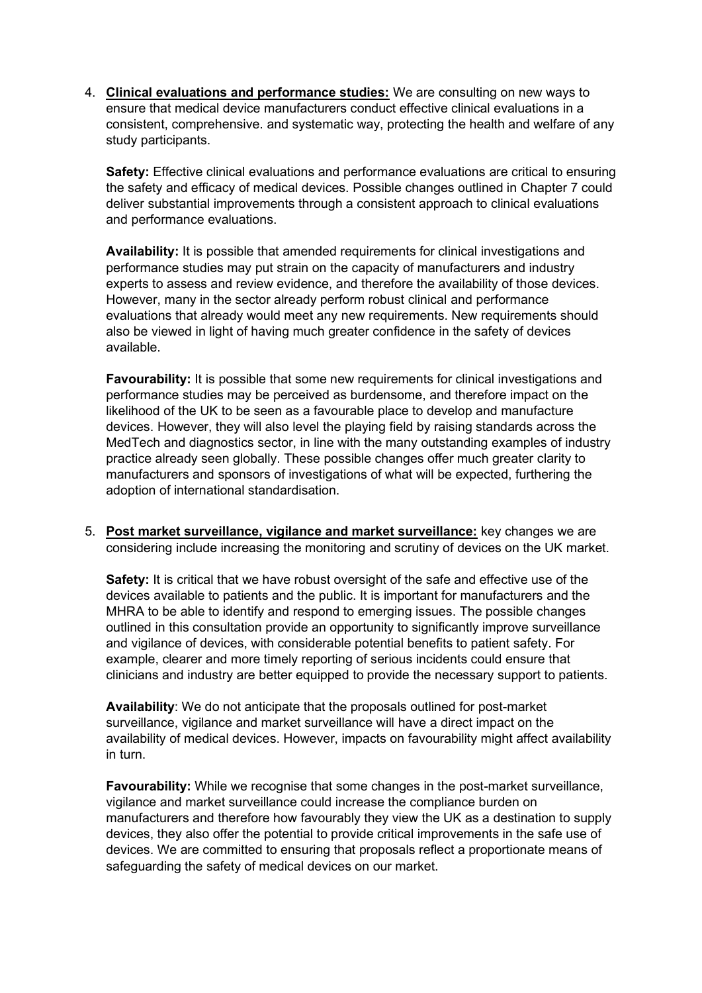4. Clinical evaluations and performance studies: We are consulting on new ways to ensure that medical device manufacturers conduct effective clinical evaluations in a consistent, comprehensive. and systematic way, protecting the health and welfare of any study participants.

Safety: Effective clinical evaluations and performance evaluations are critical to ensuring the safety and efficacy of medical devices. Possible changes outlined in Chapter 7 could deliver substantial improvements through a consistent approach to clinical evaluations and performance evaluations.

Availability: It is possible that amended requirements for clinical investigations and performance studies may put strain on the capacity of manufacturers and industry experts to assess and review evidence, and therefore the availability of those devices. However, many in the sector already perform robust clinical and performance evaluations that already would meet any new requirements. New requirements should also be viewed in light of having much greater confidence in the safety of devices available.

Favourability: It is possible that some new requirements for clinical investigations and performance studies may be perceived as burdensome, and therefore impact on the likelihood of the UK to be seen as a favourable place to develop and manufacture devices. However, they will also level the playing field by raising standards across the MedTech and diagnostics sector, in line with the many outstanding examples of industry practice already seen globally. These possible changes offer much greater clarity to manufacturers and sponsors of investigations of what will be expected, furthering the adoption of international standardisation.

5. Post market surveillance, vigilance and market surveillance: key changes we are considering include increasing the monitoring and scrutiny of devices on the UK market.

Safety: It is critical that we have robust oversight of the safe and effective use of the devices available to patients and the public. It is important for manufacturers and the MHRA to be able to identify and respond to emerging issues. The possible changes outlined in this consultation provide an opportunity to significantly improve surveillance and vigilance of devices, with considerable potential benefits to patient safety. For example, clearer and more timely reporting of serious incidents could ensure that clinicians and industry are better equipped to provide the necessary support to patients.

Availability: We do not anticipate that the proposals outlined for post-market surveillance, vigilance and market surveillance will have a direct impact on the availability of medical devices. However, impacts on favourability might affect availability in turn.

Favourability: While we recognise that some changes in the post-market surveillance, vigilance and market surveillance could increase the compliance burden on manufacturers and therefore how favourably they view the UK as a destination to supply devices, they also offer the potential to provide critical improvements in the safe use of devices. We are committed to ensuring that proposals reflect a proportionate means of safeguarding the safety of medical devices on our market.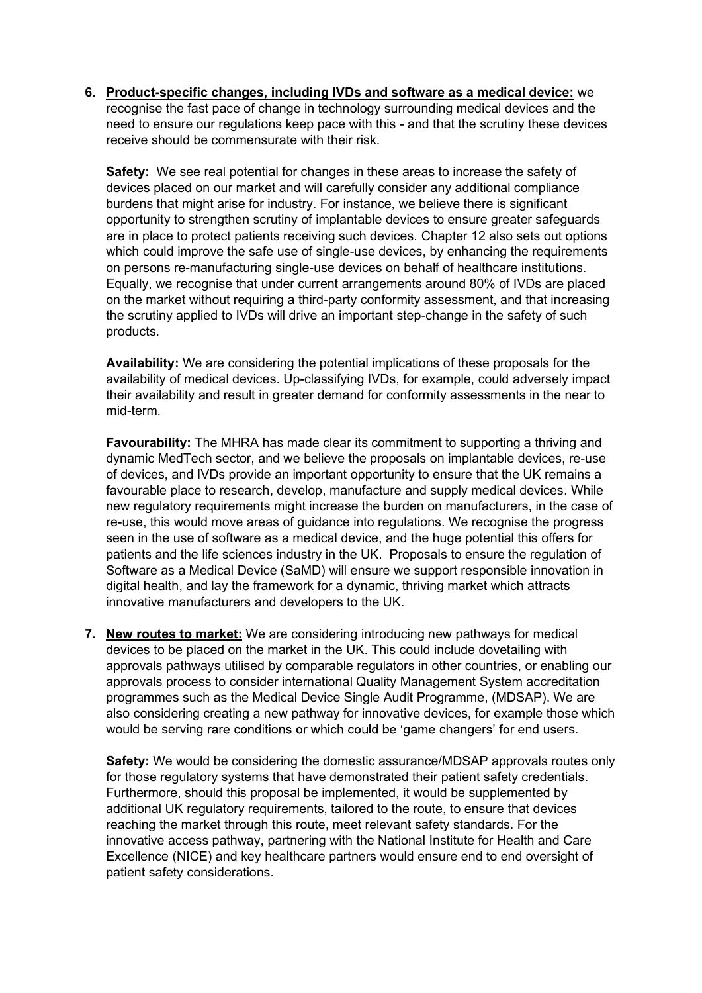6. Product-specific changes, including IVDs and software as a medical device: we<br>recognise the fast pace of change in technology surrounding medical devices and the<br>need to ensure our regulations keep pace with this - and recognise the fast pace of change in technology surrounding medical devices and the need to ensure our regulations keep pace with this - and that the scrutiny these devices receive should be commensurate with their risk.

Safety: We see real potential for changes in these areas to increase the safety of devices placed on our market and will carefully consider any additional compliance burdens that might arise for industry. For instance, we believe there is significant opportunity to strengthen scrutiny of implantable devices to ensure greater safeguards are in place to protect patients receiving such devices. Chapter 12 also sets out options which could improve the safe use of single-use devices, by enhancing the requirements on persons re-manufacturing single-use devices on behalf of healthcare institutions. Equally, we recognise that under current arrangements around 80% of IVDs are placed on the market without requiring a third-party conformity assessment, and that increasing the scrutiny applied to IVDs will drive an important step-change in the safety of such products.

Availability: We are considering the potential implications of these proposals for the availability of medical devices. Up-classifying IVDs, for example, could adversely impact their availability and result in greater demand for conformity assessments in the near to mid-term.

Favourability: The MHRA has made clear its commitment to supporting a thriving and dynamic MedTech sector, and we believe the proposals on implantable devices, re-use of devices, and IVDs provide an important opportunity to ensure that the UK remains a favourable place to research, develop, manufacture and supply medical devices. While new regulatory requirements might increase the burden on manufacturers, in the case of re-use, this would move areas of guidance into regulations. We recognise the progress seen in the use of software as a medical device, and the huge potential this offers for patients and the life sciences industry in the UK. Proposals to ensure the regulation of Software as a Medical Device (SaMD) will ensure we support responsible innovation in digital health, and lay the framework for a dynamic, thriving market which attracts innovative manufacturers and developers to the UK.

7. New routes to market: We are considering introducing new pathways for medical devices to be placed on the market in the UK. This could include dovetailing with approvals pathways utilised by comparable regulators in other countries, or enabling our approvals process to consider international Quality Management System accreditation programmes such as the Medical Device Single Audit Programme, (MDSAP). We are also considering creating a new pathway for innovative devices, for example those which would be serving rare conditions or which could be 'game changers' for end users.

Safety: We would be considering the domestic assurance/MDSAP approvals routes only for those regulatory systems that have demonstrated their patient safety credentials. Furthermore, should this proposal be implemented, it would be supplemented by additional UK regulatory requirements, tailored to the route, to ensure that devices reaching the market through this route, meet relevant safety standards. For the innovative access pathway, partnering with the National Institute for Health and Care Excellence (NICE) and key healthcare partners would ensure end to end oversight of patient safety considerations.